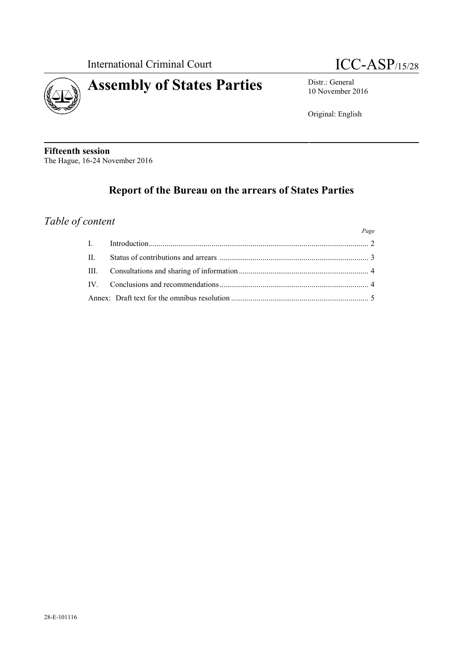

# **Assembly of States Parties** Distr.: General

10 November 2016

Original: English

**Fifteenth session** The Hague, 16-24 November 2016

## **Report of the Bureau on the arrears of States Parties**

### *Table of content*

|                | Page |
|----------------|------|
| $\blacksquare$ |      |
| $\mathbf{H}$   |      |
|                |      |
| IV —           |      |
|                |      |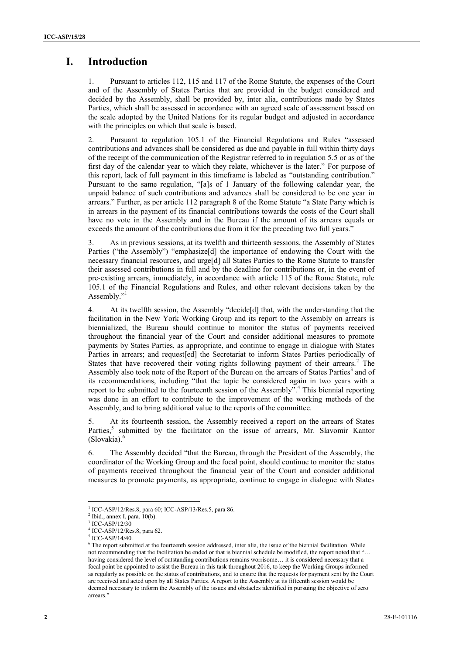## **I.** Introduction

1. Pursuant to articles 112, 115 and 117 of the Rome Statute, the expenses of the Court and of the Assembly of States Parties that are provided in the budget considered and decided by the Assembly, shall be provided by, inter alia, contributions made by States Parties, which shall be assessed in accordance with an agreed scale of assessment based on the scale adopted by the United Nations for its regular budget and adjusted in accordance with the principles on which that scale is based.

2. Pursuant to regulation 105.1 of the Financial Regulations and Rules "assessed contributions and advances shall be considered as due and payable in full within thirty days of the receipt of the communication of the Registrar referred to in regulation 5.5 or as of the first day of the calendar year to which they relate, whichever is the later." For purpose of this report, lack of full payment in this timeframe is labeled as "outstanding contribution." Pursuant to the same regulation, "[a]s of 1 January of the following calendar year, the unpaid balance of such contributions and advances shall be considered to be one year in arrears." Further, as per article 112 paragraph 8 of the Rome Statute "a State Party which is in arrears in the payment of its financial contributions towards the costs of the Court shall have no vote in the Assembly and in the Bureau if the amount of its arrears equals or exceeds the amount of the contributions due from it for the preceding two full years."

3. As in previous sessions, at its twelfth and thirteenth sessions, the Assembly of States Parties ("the Assembly") "emphasize[d] the importance of endowing the Court with the necessary financial resources, and urge[d] all States Parties to the Rome Statute to transfer their assessed contributions in full and by the deadline for contributions or, in the event of pre-existing arrears, immediately, in accordance with article 115 of the Rome Statute, rule 105.1 of the Financial Regulations and Rules, and other relevant decisions taken by the Assembly."<sup>1</sup>

**1.** Introduction<br>
2. **Example 10.** 2.11 and 11.21 and 11.21 and 11.21 and is a provided in the baryon straight in the state of the state of the state of the state of the state of the state of the state of the state of th 4. At its twelfth session, the Assembly "decide[d] that, with the understanding that the facilitation in the New York Working Group and its report to the Assembly on arrears is biennialized, the Bureau should continue to monitor the status of payments received throughout the financial year of the Court and consider additional measures to promote payments by States Parties, as appropriate, and continue to engage in dialogue with States Parties in arrears; and request[ed] the Secretariat to inform States Parties periodically of States that have recovered their voting rights following payment of their arrears.<sup>2</sup> The Assembly also took note of the Report of the Bureau on the arrears of States Parties<sup>3</sup> and of its recommendations, including "that the topic be considered again in two years with a report to be submitted to the fourteenth session of the Assembly".<sup>4</sup> This biennial reporting was done in an effort to contribute to the improvement of the working methods of the Assembly, and to bring additional value to the reports of the committee.

5. At its fourteenth session, the Assembly received a report on the arrears of States Parties,<sup>5</sup> submitted by the facilitator on the issue of arrears, Mr. Slavomir Kantor (Slovakia).<sup>6</sup>

6. The Assembly decided "that the Bureau, through the President of the Assembly, the coordinator of the Working Group and the focal point, should continue to monitor the status of payments received throughout the financial year of the Court and consider additional measures to promote payments, as appropriate, continue to engage in dialogue with States

<sup>1</sup> ICC-ASP/12/Res.8, para 60; ICC-ASP/13/Res.5, para 86.

 $2$  Ibid., annex I, para.  $10(b)$ .

 $ICC-ASP/12/30$ 

<sup>4</sup> ICC-ASP/12/Res.8, para 62.

<sup>5</sup> ICC-ASP/14/40.

<sup>6</sup> The report submitted at the fourteenth session addressed, inter alia, the issue of the biennial facilitation. While not recommending that the facilitation be ended or that is biennial schedule be modified, the report noted that "… having considered the level of outstanding contributions remains worrisome... it is considered necessary that a focal point be appointed to assist the Bureau in this task throughout 2016, to keep the Working Groups informed as regularly as possible on the status of contributions, and to ensure that the requests for payment sent by the Court are received and acted upon by all States Parties. A report to the Assembly at its fifteenth session would be deemed necessary to inform the Assembly of the issues and obstacles identified in pursuing the objective of zero arrears."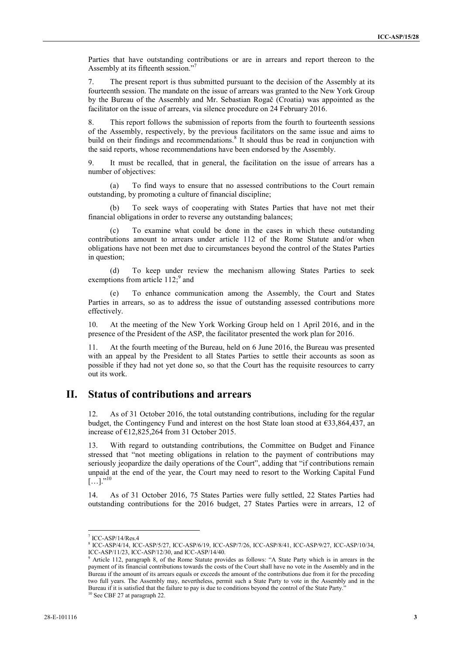Parties that have outstanding contributions or are in arrears and report thereon to the Assembly at its fifteenth session."<sup>7</sup>

7. The present report is thus submitted pursuant to the decision of the Assembly at its fourteenth session. The mandate on the issue of arrears was granted to the New York Group by the Bureau of the Assembly and Mr. Sebastian Rogač (Croatia) was appointed as the facilitator on the issue of arrears, via silence procedure on 24 February 2016.

8. This report follows the submission of reports from the fourth to fourteenth sessions of the Assembly, respectively, by the previous facilitators on the same issue and aims to build on their findings and recommendations.<sup>8</sup> It should thus be read in conjunction with the said reports, whose recommendations have been endorsed by the Assembly.

9. It must be recalled, that in general, the facilitation on the issue of arrears has a number of objectives:

(a) To find ways to ensure that no assessed contributions to the Court remain outstanding, by promoting a culture of financial discipline;

(b) To seek ways of cooperating with States Parties that have not met their financial obligations in order to reverse any outstanding balances;

To examine what could be done in the cases in which these outstanding contributions amount to arrears under article 112 of the Rome Statute and/or when obligations have not been met due to circumstances beyond the control of the States Parties in question;

(d) To keep under review the mechanism allowing States Parties to seek exemptions from article  $112$ ;  $9$  and

(e) To enhance communication among the Assembly, the Court and States Parties in arrears, so as to address the issue of outstanding assessed contributions more effectively.

10. At the meeting of the New York Working Group held on 1 April 2016, and in the presence of the President of the ASP, the facilitator presented the work plan for 2016.

11. At the fourth meeting of the Bureau, held on 6 June 2016, the Bureau was presented with an appeal by the President to all States Parties to settle their accounts as soon as possible if they had not yet done so, so that the Court has the requisite resources to carry out its work.

#### **II. Status of contributions and arrears**

12. As of 31 October 2016, the total outstanding contributions, including for the regular budget, the Contingency Fund and interest on the host State loan stood at  $633,864,437$ , an increase of €12,825,264 from 31 October 2015.

13. With regard to outstanding contributions, the Committee on Budget and Finance stressed that "not meeting obligations in relation to the payment of contributions may seriously jeopardize the daily operations of the Court", adding that "if contributions remain unpaid at the end of the year, the Court may need to resort to the Working Capital Fund  $[...]$ ."<sup>10</sup>

14. As of 31 October 2016, 75 States Parties were fully settled, 22 States Parties had outstanding contributions for the 2016 budget, 27 States Parties were in arrears, 12 of

<sup>7</sup> ICC-ASP/14/Res.4

<sup>8</sup> ICC-ASP/4/14, ICC-ASP/5/27, ICC-ASP/6/19, ICC-ASP/7/26, ICC-ASP/8/41, ICC-ASP/9/27, ICC-ASP/10/34, ICC-ASP/11/23, ICC-ASP/12/30, and ICC-ASP/14/40.

<sup>9</sup> Article 112, paragraph 8, of the Rome Statute provides as follows: "A State Party which is in arrears in the payment of its financial contributions towards the costs of the Court shall have no vote in the Assembly and in the Bureau if the amount of its arrears equals or exceeds the amount of the contributions due from it for the preceding two full years. The Assembly may, nevertheless, permit such a State Party to vote in the Assembly and in the Bureau if it is satisfied that the failure to pay is due to conditions beyond the control of the State Party."

<sup>&</sup>lt;sup>10</sup> See CBF 27 at paragraph 22.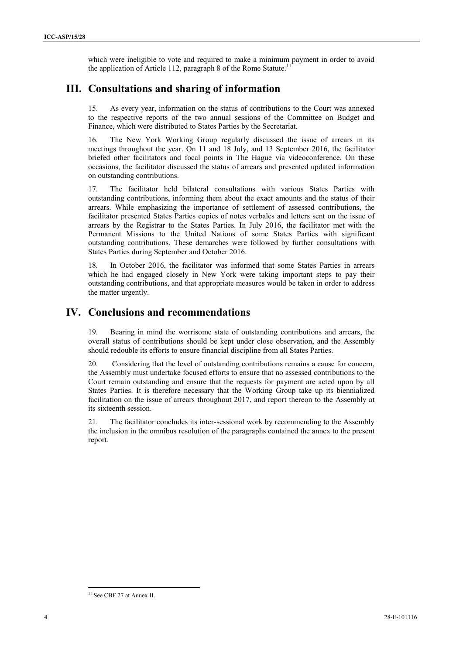which were ineligible to vote and required to make a minimum payment in order to avoid the application of Article 112, paragraph 8 of the Rome Statute.<sup>11</sup>

#### **III. Consultations and sharing of information**

15. As every year, information on the status of contributions to the Court was annexed to the respective reports of the two annual sessions of the Committee on Budget and Finance, which were distributed to States Parties by the Secretariat.

16. The New York Working Group regularly discussed the issue of arrears in its meetings throughout the year. On 11 and 18 July, and 13 September 2016, the facilitator briefed other facilitators and focal points in The Hague via videoconference. On these occasions, the facilitator discussed the status of arrears and presented updated information on outstanding contributions.

which were indipide to wor and regulard to the a minimal pyrron in order to avoid<br> **14** C equivariants of which is a page of which we have a completeless of the C except<br>
14 C equivariants and sharing of information<br>
14 C 17. The facilitator held bilateral consultations with various States Parties with outstanding contributions, informing them about the exact amounts and the status of their arrears. While emphasizing the importance of settlement of assessed contributions, the facilitator presented States Parties copies of notes verbales and letters sent on the issue of arrears by the Registrar to the States Parties. In July 2016, the facilitator met with the Permanent Missions to the United Nations of some States Parties with significant outstanding contributions. These demarches were followed by further consultations with States Parties during September and October 2016.

18. In October 2016, the facilitator was informed that some States Parties in arrears which he had engaged closely in New York were taking important steps to pay their outstanding contributions, and that appropriate measures would be taken in order to address the matter urgently.

#### **IV. Conclusions and recommendations**

19. Bearing in mind the worrisome state of outstanding contributions and arrears, the overall status of contributions should be kept under close observation, and the Assembly should redouble its efforts to ensure financial discipline from all States Parties.

20. Considering that the level of outstanding contributions remains a cause for concern, the Assembly must undertake focused efforts to ensure that no assessed contributions to the Court remain outstanding and ensure that the requests for payment are acted upon by all States Parties. It is therefore necessary that the Working Group take up its biennialized facilitation on the issue of arrears throughout 2017, and report thereon to the Assembly at its sixteenth session.

21. The facilitator concludes its inter-sessional work by recommending to the Assembly the inclusion in the omnibus resolution of the paragraphs contained the annex to the present report.

<sup>&</sup>lt;sup>11</sup> See CBF 27 at Annex II.